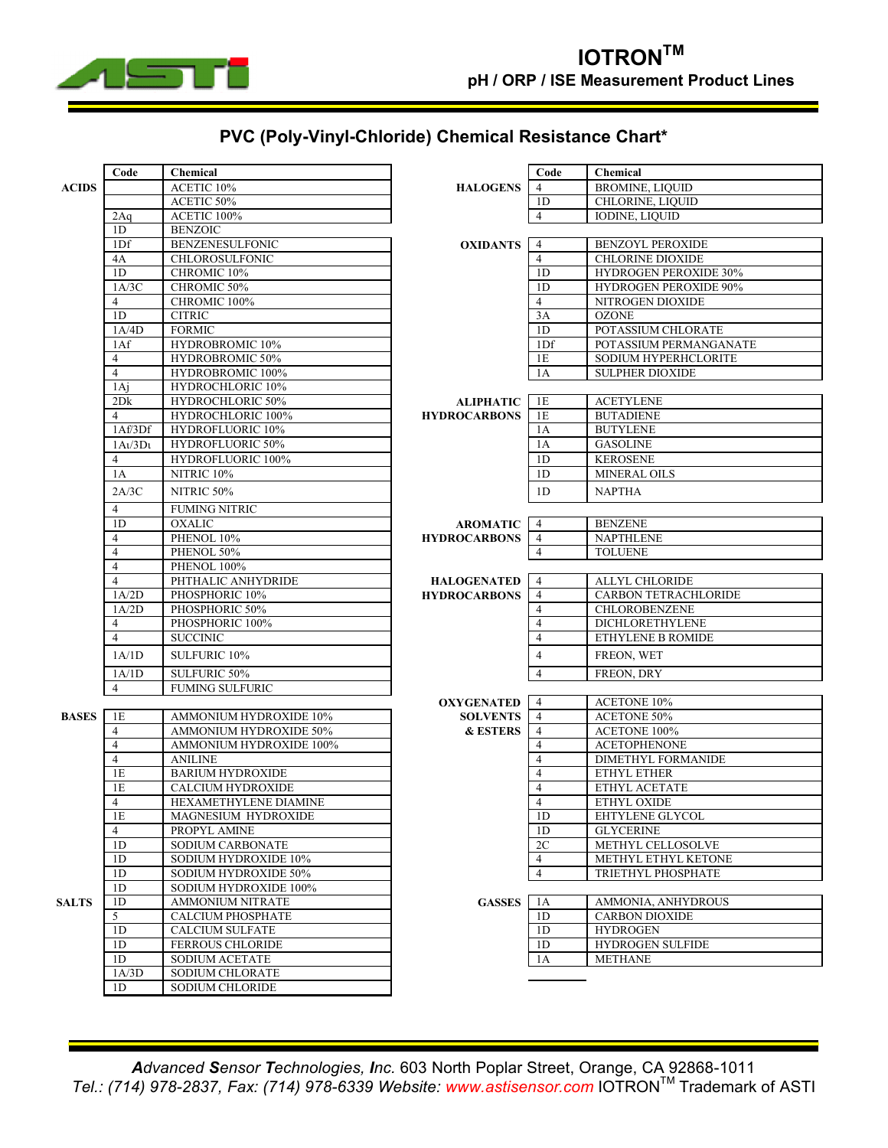

## **PVC (Poly-Vinyl-Chloride) Chemical Resistance Chart\***

|              | Code                     | Chemical                                           |                     | Code                             | Chemical                            |
|--------------|--------------------------|----------------------------------------------------|---------------------|----------------------------------|-------------------------------------|
| <b>ACIDS</b> |                          | ACETIC 10%                                         | <b>HALOGENS</b>     | $\overline{4}$                   | <b>BROMINE, LIQUID</b>              |
|              |                          | ACETIC 50%                                         |                     | 1D                               | CHLORINE, LIQUID                    |
|              | 2Aq                      | ACETIC 100%                                        |                     | $\overline{4}$                   | <b>IODINE, LIQUID</b>               |
|              | 1D                       | <b>BENZOIC</b>                                     |                     |                                  |                                     |
|              | 1Df                      | <b>BENZENESULFONIC</b>                             | <b>OXIDANTS</b>     | $\overline{4}$                   | <b>BENZOYL PEROXIDE</b>             |
|              | 4A                       | CHLOROSULFONIC                                     |                     | $\overline{4}$                   | <b>CHLORINE DIOXIDE</b>             |
|              | 1 <sub>D</sub>           | CHROMIC 10%                                        |                     | 1D                               | <b>HYDROGEN PEROXIDE 30%</b>        |
|              | 1A/3C                    | CHROMIC 50%                                        |                     | 1D                               | <b>HYDROGEN PEROXIDE 90%</b>        |
|              | 4                        | CHROMIC 100%                                       |                     | $\overline{4}$                   | NITROGEN DIOXIDE                    |
|              | 1D                       | <b>CITRIC</b>                                      |                     | 3A                               | <b>OZONE</b>                        |
|              | 1A/4D                    | <b>FORMIC</b>                                      |                     | 1D                               | POTASSIUM CHLORATE                  |
|              | 1Af                      | HYDROBROMIC 10%                                    |                     | 1 <sub>Df</sub>                  | POTASSIUM PERMANGANATE              |
|              | 4                        | HYDROBROMIC 50%                                    |                     | 1E                               | SODIUM HYPERHCLORITE                |
|              | $\overline{4}$           | HYDROBROMIC 100%                                   |                     | 1A                               | <b>SULPHER DIOXIDE</b>              |
|              | 1Aj                      | HYDROCHLORIC 10%                                   |                     |                                  |                                     |
|              | 2Dk                      | HYDROCHLORIC 50%                                   | <b>ALIPHATIC</b>    | 1E                               | <b>ACETYLENE</b>                    |
|              | 4                        | HYDROCHLORIC 100%                                  | <b>HYDROCARBONS</b> | 1E                               | <b>BUTADIENE</b>                    |
|              | 1Af/3Df                  | HYDROFLUORIC 10%                                   |                     | 1A                               | <b>BUTYLENE</b>                     |
|              | $1A\iota/3D\iota$        | HYDROFLUORIC 50%                                   |                     | 1A                               | <b>GASOLINE</b>                     |
|              | 4                        | <b>HYDROFLUORIC 100%</b>                           |                     | 1D                               | <b>KEROSENE</b>                     |
|              | 1A                       | NITRIC <sub>10%</sub>                              |                     | 1 <sub>D</sub>                   | MINERAL OILS                        |
|              | 2A/3C                    | NITRIC 50%                                         |                     | 1D                               | <b>NAPTHA</b>                       |
|              | 4                        | <b>FUMING NITRIC</b>                               |                     |                                  |                                     |
|              | 1D                       | <b>OXALIC</b>                                      | <b>AROMATIC</b>     | $\overline{4}$                   | <b>BENZENE</b>                      |
|              | 4                        | PHENOL 10%                                         | <b>HYDROCARBONS</b> | $\overline{4}$                   | <b>NAPTHLENE</b>                    |
|              | $\overline{4}$           | PHENOL 50%                                         |                     | 4                                | <b>TOLUENE</b>                      |
|              | $\overline{4}$           | PHENOL 100%                                        |                     |                                  |                                     |
|              | 4                        | PHTHALIC ANHYDRIDE                                 | <b>HALOGENATED</b>  | $\overline{4}$                   | <b>ALLYL CHLORIDE</b>               |
|              | 1A/2D                    | PHOSPHORIC 10%                                     | <b>HYDROCARBONS</b> | $\overline{4}$                   | <b>CARBON TETRACHLORIDE</b>         |
|              | 1A/2D                    | PHOSPHORIC 50%                                     |                     | $\overline{4}$                   | <b>CHLOROBENZENE</b>                |
|              | $\overline{4}$           | PHOSPHORIC 100%                                    |                     | $\overline{4}$                   | DICHLORETHYLENE                     |
|              | $\overline{\mathcal{L}}$ | <b>SUCCINIC</b>                                    |                     | $\overline{4}$                   | ETHYLENE B ROMIDE                   |
|              | 1A/1D                    | SULFURIC 10%                                       |                     | $\overline{4}$                   | FREON, WET                          |
|              | 1A/1D                    | <b>SULFURIC 50%</b>                                |                     | $\overline{4}$                   | FREON, DRY                          |
|              | $\overline{4}$           | <b>FUMING SULFURIC</b>                             |                     |                                  |                                     |
|              |                          |                                                    | <b>OXYGENATED</b>   | $\overline{4}$                   | <b>ACETONE 10%</b>                  |
| <b>BASES</b> | 1E                       | AMMONIUM HYDROXIDE 10%                             | <b>SOLVENTS</b>     | $\overline{4}$                   | <b>ACETONE 50%</b>                  |
|              | $\overline{4}$           | AMMONIUM HYDROXIDE 50%                             | <b>&amp; ESTERS</b> | $\overline{4}$                   | <b>ACETONE 100%</b>                 |
|              | 4                        | AMMONIUM HYDROXIDE 100%                            |                     | $\overline{4}$                   | <b>ACETOPHENONE</b>                 |
|              | $\overline{\mathcal{L}}$ | <b>ANILINE</b>                                     |                     | $\overline{4}$                   | <b>DIMETHYL FORMANIDE</b>           |
|              | 1E                       | <b>BARIUM HYDROXIDE</b>                            |                     | $\overline{4}$                   | ETHYL ETHER                         |
|              | 1E                       | <b>CALCIUM HYDROXIDE</b>                           |                     | $\overline{4}$                   | ETHYL ACETATE                       |
|              | $\overline{4}$           | HEXAMETHYLENE DIAMINE                              |                     | $\overline{4}$                   | ETHYL OXIDE                         |
|              | 1Е                       | MAGNESIUM HYDROXIDE                                |                     | 1D                               | EHTYLENE GLYCOL                     |
|              | $\overline{4}$           | PROPYL AMINE                                       |                     | 1 <sub>D</sub>                   | <b>GLYCERINE</b>                    |
|              | 1 <sub>D</sub>           | SODIUM CARBONATE                                   |                     | 2C                               | METHYL CELLOSOLVE                   |
|              | 1 <sub>D</sub>           | SODIUM HYDROXIDE 10%                               |                     | $\overline{4}$                   | METHYL ETHYL KETONE                 |
|              | 1 <sub>D</sub>           | SODIUM HYDROXIDE 50%                               |                     | $\overline{4}$                   | TRIETHYL PHOSPHATE                  |
|              | 1D                       | SODIUM HYDROXIDE 100%                              |                     |                                  |                                     |
| <b>SALTS</b> | 1 <sub>D</sub>           | <b>AMMONIUM NITRATE</b>                            | <b>GASSES</b>       | 1A                               | AMMONIA, ANHYDROUS                  |
|              | 5                        | <b>CALCIUM PHOSPHATE</b><br><b>CALCIUM SULFATE</b> |                     | 1D                               | <b>CARBON DIOXIDE</b>               |
|              | 1 <sub>D</sub><br>1D     | <b>FERROUS CHLORIDE</b>                            |                     | 1 <sub>D</sub><br>1 <sub>D</sub> | <b>HYDROGEN</b><br>HYDROGEN SULFIDE |
|              | 1 <sub>D</sub>           | <b>SODIUM ACETATE</b>                              |                     | 1A                               | <b>METHANE</b>                      |
|              | 1A/3D                    | SODIUM CHLORATE                                    |                     |                                  |                                     |
|              | 1 <sub>D</sub>           | SODIUM CHLORIDE                                    |                     |                                  |                                     |
|              |                          |                                                    |                     |                                  |                                     |